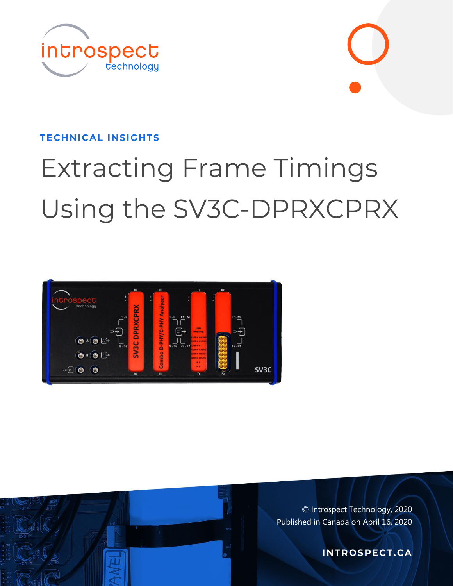



#### **TECHNICAL INSIGHTS**

# **Extracting Frame Timings** Using the SV3C-DPRXCPRX





© Introspect Technology, 2020 Published in Canada on April 16, 2020

**INTROSPECT.CA**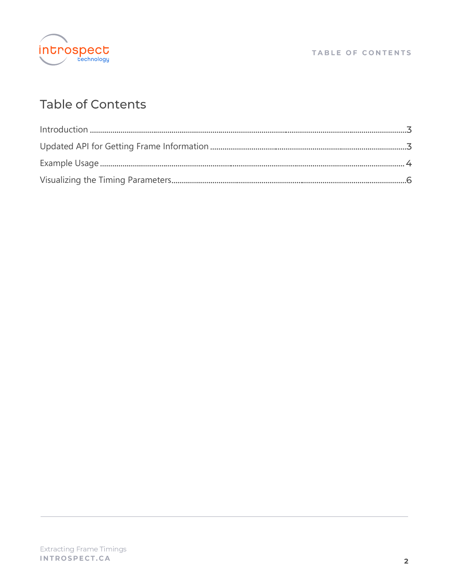

#### TABLE OF CONTENTS

# Table of Contents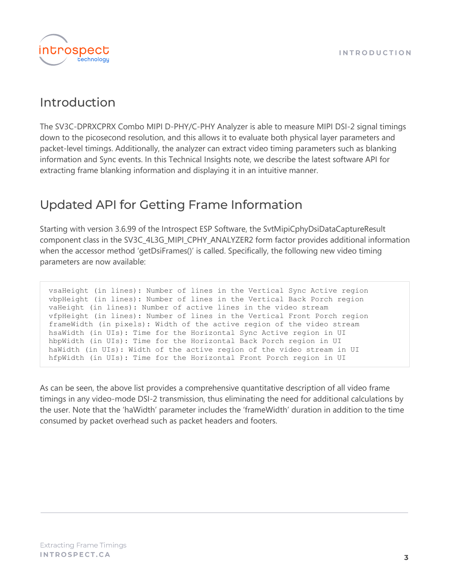

## <span id="page-2-0"></span>Introduction

The SV3C-DPRXCPRX Combo MIPI D-PHY/C-PHY Analyzer is able to measure MIPI DSI-2 signal timings down to the picosecond resolution, and this allows it to evaluate both physical layer parameters and packet-level timings. Additionally, the analyzer can extract video timing parameters such as blanking information and Sync events. In this Technical Insights note, we describe the latest software API for extracting frame blanking information and displaying it in an intuitive manner.

# <span id="page-2-1"></span>**Updated API for Getting Frame Information**

Starting with version 3.6.99 of the Introspect ESP Software, the SvtMipiCphyDsiDataCaptureResult component class in the SV3C\_4L3G\_MIPI\_CPHY\_ANALYZER2 form factor provides additional information when the accessor method 'getDsiFrames()' is called. Specifically, the following new video timing parameters are now available:

vsaHeight (in lines): Number of lines in the Vertical Sync Active region vbpHeight (in lines): Number of lines in the Vertical Back Porch region vaHeight (in lines): Number of active lines in the video stream vfpHeight (in lines): Number of lines in the Vertical Front Porch region frameWidth (in pixels): Width of the active region of the video stream hsaWidth (in UIs): Time for the Horizontal Sync Active region in UI hbpWidth (in UIs): Time for the Horizontal Back Porch region in UI haWidth (in UIs): Width of the active region of the video stream in UI hfpWidth (in UIs): Time for the Horizontal Front Porch region in UI

As can be seen, the above list provides a comprehensive quantitative description of all video frame timings in any video-mode DSI-2 transmission, thus eliminating the need for additional calculations by the user. Note that the 'haWidth' parameter includes the 'frameWidth' duration in addition to the time consumed by packet overhead such as packet headers and footers.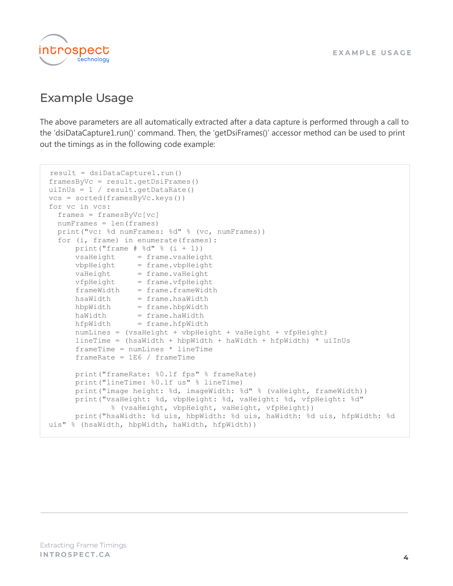

## <span id="page-3-0"></span>**Example Usage**

The above parameters are all automatically extracted after a data capture is performed through a call to the 'dsiDataCapture1.run()' command. Then, the 'getDsiFrames()' accessor method can be used to print out the timings as in the following code example:

```
result = dsiDataCapture1.run()
  framesByVc = result.getDisi.uiInUs = 1 / result.getDataRate()
 vcs = sorted(framesByVc.keys())
 for vc in vcs:
     frames = framesByVc[vc]
    numFrames = len(frames)
    print("vc: %d numFrames: %d" % (vc, numFrames))
     for (i, frame) in enumerate(frames):
        print("frame # 8d" 8 (i + 1))
vsaHeight = frame.vsaHeight
vbpHeight = frame.vbpHeight
vaHeight = frame.vaHeight
vfpHeight = frame.vfpHeight
         frameWidth = frame.frameWidth
        hsaWidth = frame.hsaWidth
        hbpWidth = frame.hbpWidth
        \begin{tabular}{ll} \bf{h} \rm{a} \rm{W} \rm{i} \rm{d} \rm{t} \rm{h} & = \rm{frame.h} \rm{a} \rm{W} \rm{i} \rm{d} \rm{t} \rm{h} \\ \rm{h} \rm{f} \rm{p} \rm{W} \rm{i} \rm{d} \rm{t} & = \rm{frame.h} \rm{f} \rm{p} \rm{W} \rm{i} \rm{d} \rm{t} \end{tabular} hfpWidth = frame.hfpWidth
         numLines = (vsaHeight + vbpHeight + vaHeight + vfpHeight)
         lineTime = (hsaWidth + hbpWidth + haWidth + hfpWidth) * uiInUs
         frameTime = numLines * lineTime
        frameRate = 1E6 / frameTime print("frameRate: %0.1f fps" % frameRate)
         print("lineTime: %0.1f us" % lineTime)
         print("image height: %d, imageWidth: %d" % (vaHeight, frameWidth))
         print("vsaHeight: %d, vbpHeight: %d, vaHeight: %d, vfpHeight: %d"
                   % (vsaHeight, vbpHeight, vaHeight, vfpHeight))
         print("hsaWidth: %d uis, hbpWidth: %d uis, haWidth: %d uis, hfpWidth: %d
 uis" % (hsaWidth, hbpWidth, haWidth, hfpWidth))
```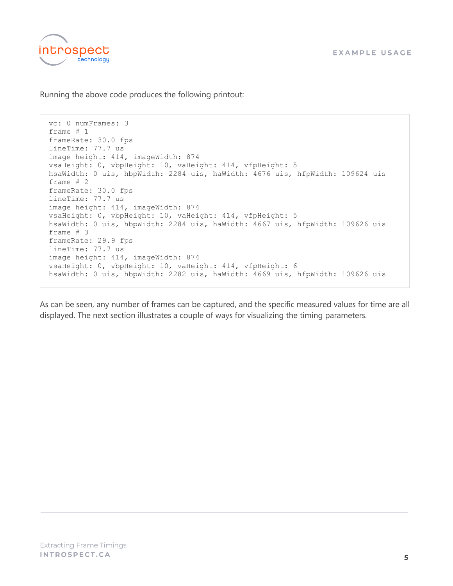

Running the above code produces the following printout:

vc: 0 numFrames: 3 frame # 1 frameRate: 30.0 fps lineTime: 77.7 us image height: 414, imageWidth: 874 vsaHeight: 0, vbpHeight: 10, vaHeight: 414, vfpHeight: 5 hsaWidth: 0 uis, hbpWidth: 2284 uis, haWidth: 4676 uis, hfpWidth: 109624 uis frame # 2 frameRate: 30.0 fps lineTime: 77.7 us image height: 414, imageWidth: 874 vsaHeight: 0, vbpHeight: 10, vaHeight: 414, vfpHeight: 5 hsaWidth: 0 uis, hbpWidth: 2284 uis, haWidth: 4667 uis, hfpWidth: 109626 uis frame # 3 frameRate: 29.9 fps lineTime: 77.7 us image height: 414, imageWidth: 874 vsaHeight: 0, vbpHeight: 10, vaHeight: 414, vfpHeight: 6 hsaWidth: 0 uis, hbpWidth: 2282 uis, haWidth: 4669 uis, hfpWidth: 109626 uis

As can be seen, any number of frames can be captured, and the specific measured values for time are all displayed. The next section illustrates a couple of ways for visualizing the timing parameters.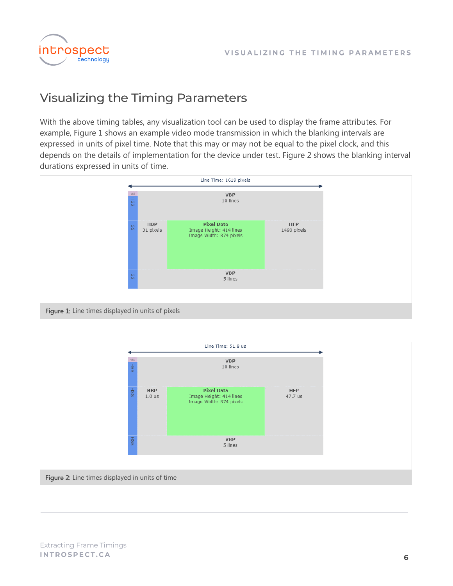

# <span id="page-5-0"></span>**Visualizing the Timing Parameters**

With the above timing tables, any visualization tool can be used to display the frame attributes. For example, Figure 1 shows an example video mode transmission in which the blanking intervals are expressed in units of pixel time. Note that this may or may not be equal to the pixel clock, and this depends on the details of implementation for the device under test. Figure 2 shows the blanking interval durations expressed in units of time.



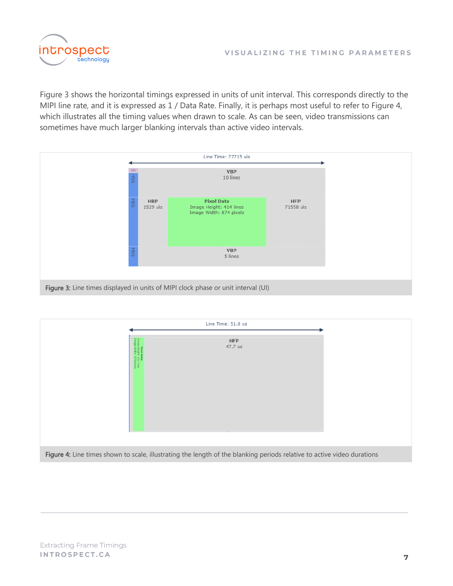

Figure 3 shows the horizontal timings expressed in units of unit interval. This corresponds directly to the MIPI line rate, and it is expressed as 1 / Data Rate. Finally, it is perhaps most useful to refer to Figure 4, which illustrates all the timing values when drawn to scale. As can be seen, video transmissions can sometimes have much larger blanking intervals than active video intervals.